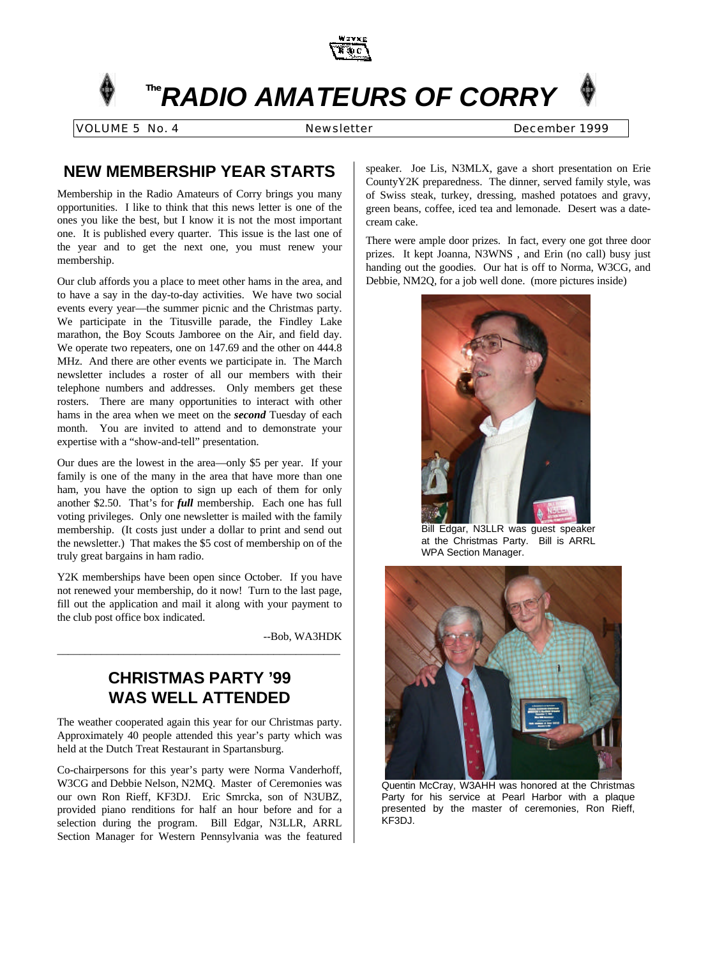

# **The***RADIO AMATEURS OF CORRY*

VOLUME 5 No. 4 Newsletter December 1999

# **NEW MEMBERSHIP YEAR STARTS**

Membership in the Radio Amateurs of Corry brings you many opportunities. I like to think that this news letter is one of the ones you like the best, but I know it is not the most important one. It is published every quarter. This issue is the last one of the year and to get the next one, you must renew your membership.

Our club affords you a place to meet other hams in the area, and to have a say in the day-to-day activities. We have two social events every year—the summer picnic and the Christmas party. We participate in the Titusville parade, the Findley Lake marathon, the Boy Scouts Jamboree on the Air, and field day. We operate two repeaters, one on 147.69 and the other on 444.8 MHz. And there are other events we participate in. The March newsletter includes a roster of all our members with their telephone numbers and addresses. Only members get these rosters. There are many opportunities to interact with other hams in the area when we meet on the *second* Tuesday of each month. You are invited to attend and to demonstrate your expertise with a "show-and-tell" presentation.

Our dues are the lowest in the area—only \$5 per year. If your family is one of the many in the area that have more than one ham, you have the option to sign up each of them for only another \$2.50. That's for *full* membership. Each one has full voting privileges. Only one newsletter is mailed with the family membership. (It costs just under a dollar to print and send out the newsletter.) That makes the \$5 cost of membership on of the truly great bargains in ham radio.

Y2K memberships have been open since October. If you have not renewed your membership, do it now! Turn to the last page, fill out the application and mail it along with your payment to the club post office box indicated.

--Bob, WA3HDK

# **CHRISTMAS PARTY '99 WAS WELL ATTENDED**

\_\_\_\_\_\_\_\_\_\_\_\_\_\_\_\_\_\_\_\_\_\_\_\_\_\_\_\_\_\_\_\_\_\_\_\_\_\_\_\_\_\_\_\_\_\_\_\_\_\_\_

The weather cooperated again this year for our Christmas party. Approximately 40 people attended this year's party which was held at the Dutch Treat Restaurant in Spartansburg.

Co-chairpersons for this year's party were Norma Vanderhoff, W3CG and Debbie Nelson, N2MQ. Master of Ceremonies was our own Ron Rieff, KF3DJ. Eric Smrcka, son of N3UBZ, provided piano renditions for half an hour before and for a selection during the program. Bill Edgar, N3LLR, ARRL Section Manager for Western Pennsylvania was the featured

speaker. Joe Lis, N3MLX, gave a short presentation on Erie CountyY2K preparedness. The dinner, served family style, was of Swiss steak, turkey, dressing, mashed potatoes and gravy, green beans, coffee, iced tea and lemonade. Desert was a datecream cake.

There were ample door prizes. In fact, every one got three door prizes. It kept Joanna, N3WNS , and Erin (no call) busy just handing out the goodies. Our hat is off to Norma, W3CG, and Debbie, NM2Q, for a job well done. (more pictures inside)



Bill Edgar, N3LLR was guest speaker at the Christmas Party. Bill is ARRL WPA Section Manager.



Quentin McCray, W3AHH was honored at the Christmas Party for his service at Pearl Harbor with a plaque presented by the master of ceremonies, Ron Rieff, KF3DJ.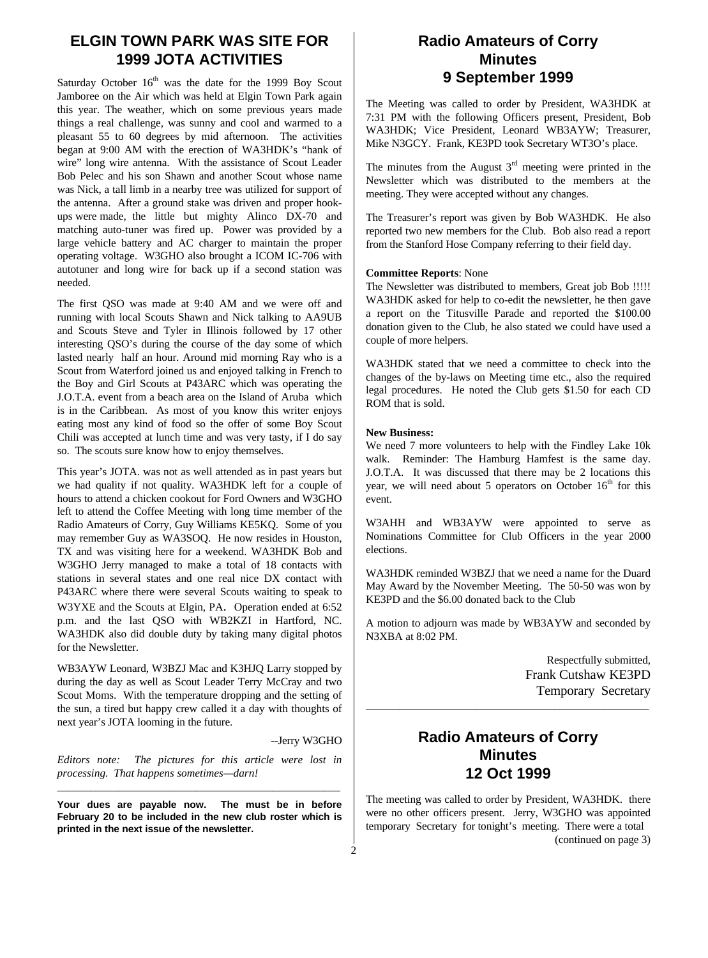### **ELGIN TOWN PARK WAS SITE FOR 1999 JOTA ACTIVITIES**

Saturday October  $16<sup>th</sup>$  was the date for the 1999 Boy Scout Jamboree on the Air which was held at Elgin Town Park again this year. The weather, which on some previous years made things a real challenge, was sunny and cool and warmed to a pleasant 55 to 60 degrees by mid afternoon. The activities began at 9:00 AM with the erection of WA3HDK's "hank of wire" long wire antenna. With the assistance of Scout Leader Bob Pelec and his son Shawn and another Scout whose name was Nick, a tall limb in a nearby tree was utilized for support of the antenna. After a ground stake was driven and proper hookups were made, the little but mighty Alinco DX-70 and matching auto-tuner was fired up. Power was provided by a large vehicle battery and AC charger to maintain the proper operating voltage. W3GHO also brought a ICOM IC-706 with autotuner and long wire for back up if a second station was needed.

The first QSO was made at 9:40 AM and we were off and running with local Scouts Shawn and Nick talking to AA9UB and Scouts Steve and Tyler in Illinois followed by 17 other interesting QSO's during the course of the day some of which lasted nearly half an hour. Around mid morning Ray who is a Scout from Waterford joined us and enjoyed talking in French to the Boy and Girl Scouts at P43ARC which was operating the J.O.T.A. event from a beach area on the Island of Aruba which is in the Caribbean. As most of you know this writer enjoys eating most any kind of food so the offer of some Boy Scout Chili was accepted at lunch time and was very tasty, if I do say so. The scouts sure know how to enjoy themselves.

This year's JOTA. was not as well attended as in past years but we had quality if not quality. WA3HDK left for a couple of hours to attend a chicken cookout for Ford Owners and W3GHO left to attend the Coffee Meeting with long time member of the Radio Amateurs of Corry, Guy Williams KE5KQ. Some of you may remember Guy as WA3SOQ. He now resides in Houston, TX and was visiting here for a weekend. WA3HDK Bob and W3GHO Jerry managed to make a total of 18 contacts with stations in several states and one real nice DX contact with P43ARC where there were several Scouts waiting to speak to W3YXE and the Scouts at Elgin, PA. Operation ended at 6:52 p.m. and the last QSO with WB2KZI in Hartford, NC. WA3HDK also did double duty by taking many digital photos for the Newsletter.

WB3AYW Leonard, W3BZJ Mac and K3HJQ Larry stopped by during the day as well as Scout Leader Terry McCray and two Scout Moms. With the temperature dropping and the setting of the sun, a tired but happy crew called it a day with thoughts of next year's JOTA looming in the future.

--Jerry W3GHO

*Editors note: The pictures for this article were lost in processing. That happens sometimes—darn!* \_\_\_\_\_\_\_\_\_\_\_\_\_\_\_\_\_\_\_\_\_\_\_\_\_\_\_\_\_\_\_\_\_\_\_\_\_\_\_\_\_\_\_\_\_\_\_\_\_\_\_

**Your dues are payable now. The must be in before February 20 to be included in the new club roster which is printed in the next issue of the newsletter.**

## **Radio Amateurs of Corry Minutes 9 September 1999**

The Meeting was called to order by President, WA3HDK at 7:31 PM with the following Officers present, President, Bob WA3HDK; Vice President, Leonard WB3AYW; Treasurer, Mike N3GCY. Frank, KE3PD took Secretary WT3O's place.

The minutes from the August  $3<sup>rd</sup>$  meeting were printed in the Newsletter which was distributed to the members at the meeting. They were accepted without any changes.

The Treasurer's report was given by Bob WA3HDK. He also reported two new members for the Club. Bob also read a report from the Stanford Hose Company referring to their field day.

#### **Committee Reports**: None

The Newsletter was distributed to members, Great job Bob !!!!! WA3HDK asked for help to co-edit the newsletter, he then gave a report on the Titusville Parade and reported the \$100.00 donation given to the Club, he also stated we could have used a couple of more helpers.

WA3HDK stated that we need a committee to check into the changes of the by-laws on Meeting time etc., also the required legal procedures. He noted the Club gets \$1.50 for each CD ROM that is sold.

#### **New Business:**

We need 7 more volunteers to help with the Findley Lake 10k walk. Reminder: The Hamburg Hamfest is the same day. J.O.T.A. It was discussed that there may be 2 locations this year, we will need about 5 operators on October  $16<sup>th</sup>$  for this event.

W3AHH and WB3AYW were appointed to serve as Nominations Committee for Club Officers in the year 2000 elections.

WA3HDK reminded W3BZJ that we need a name for the Duard May Award by the November Meeting. The 50-50 was won by KE3PD and the \$6.00 donated back to the Club

A motion to adjourn was made by WB3AYW and seconded by N3XBA at 8:02 PM.

> Respectfully submitted, Frank Cutshaw KE3PD Temporary Secretary

### **Radio Amateurs of Corry Minutes 12 Oct 1999**

\_\_\_\_\_\_\_\_\_\_\_\_\_\_\_\_\_\_\_\_\_\_\_\_\_\_\_\_\_\_\_\_\_\_\_\_\_\_\_\_\_\_\_\_\_\_\_\_\_\_\_

The meeting was called to order by President, WA3HDK. there were no other officers present. Jerry, W3GHO was appointed temporary Secretary for tonight's meeting. There were a total (continued on page 3)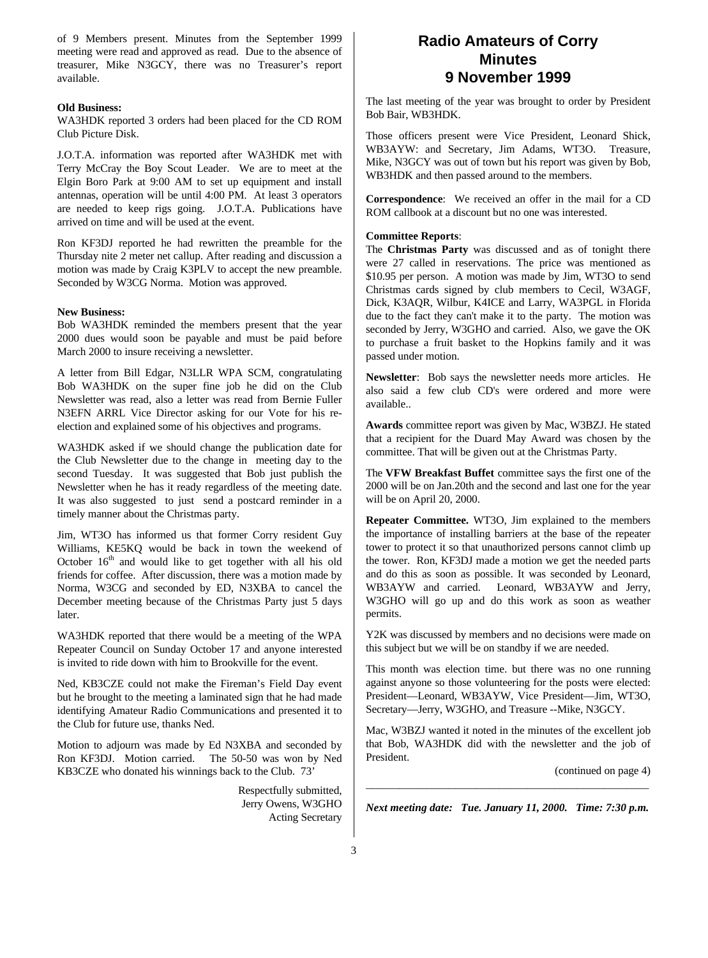of 9 Members present. Minutes from the September 1999 meeting were read and approved as read. Due to the absence of treasurer, Mike N3GCY, there was no Treasurer's report available.

### **Old Business:**

WA3HDK reported 3 orders had been placed for the CD ROM Club Picture Disk.

J.O.T.A. information was reported after WA3HDK met with Terry McCray the Boy Scout Leader. We are to meet at the Elgin Boro Park at 9:00 AM to set up equipment and install antennas, operation will be until 4:00 PM. At least 3 operators are needed to keep rigs going. J.O.T.A. Publications have arrived on time and will be used at the event.

Ron KF3DJ reported he had rewritten the preamble for the Thursday nite 2 meter net callup. After reading and discussion a motion was made by Craig K3PLV to accept the new preamble. Seconded by W3CG Norma. Motion was approved.

#### **New Business:**

Bob WA3HDK reminded the members present that the year 2000 dues would soon be payable and must be paid before March 2000 to insure receiving a newsletter.

A letter from Bill Edgar, N3LLR WPA SCM, congratulating Bob WA3HDK on the super fine job he did on the Club Newsletter was read, also a letter was read from Bernie Fuller N3EFN ARRL Vice Director asking for our Vote for his reelection and explained some of his objectives and programs.

WA3HDK asked if we should change the publication date for the Club Newsletter due to the change in meeting day to the second Tuesday. It was suggested that Bob just publish the Newsletter when he has it ready regardless of the meeting date. It was also suggested to just send a postcard reminder in a timely manner about the Christmas party.

Jim, WT3O has informed us that former Corry resident Guy Williams, KE5KQ would be back in town the weekend of October  $16<sup>th</sup>$  and would like to get together with all his old friends for coffee. After discussion, there was a motion made by Norma, W3CG and seconded by ED, N3XBA to cancel the December meeting because of the Christmas Party just 5 days later.

WA3HDK reported that there would be a meeting of the WPA Repeater Council on Sunday October 17 and anyone interested is invited to ride down with him to Brookville for the event.

Ned, KB3CZE could not make the Fireman's Field Day event but he brought to the meeting a laminated sign that he had made identifying Amateur Radio Communications and presented it to the Club for future use, thanks Ned.

Motion to adjourn was made by Ed N3XBA and seconded by Ron KF3DJ. Motion carried. The 50-50 was won by Ned KB3CZE who donated his winnings back to the Club. 73'

> Respectfully submitted, Jerry Owens, W3GHO Acting Secretary

### **Radio Amateurs of Corry Minutes 9 November 1999**

The last meeting of the year was brought to order by President Bob Bair, WB3HDK.

Those officers present were Vice President, Leonard Shick, WB3AYW: and Secretary, Jim Adams, WT3O. Treasure, Mike, N3GCY was out of town but his report was given by Bob, WB3HDK and then passed around to the members.

**Correspondence**: We received an offer in the mail for a CD ROM callbook at a discount but no one was interested.

### **Committee Reports**:

The **Christmas Party** was discussed and as of tonight there were 27 called in reservations. The price was mentioned as \$10.95 per person. A motion was made by Jim, WT3O to send Christmas cards signed by club members to Cecil, W3AGF, Dick, K3AQR, Wilbur, K4ICE and Larry, WA3PGL in Florida due to the fact they can't make it to the party. The motion was seconded by Jerry, W3GHO and carried. Also, we gave the OK to purchase a fruit basket to the Hopkins family and it was passed under motion.

**Newsletter**: Bob says the newsletter needs more articles. He also said a few club CD's were ordered and more were available..

**Awards** committee report was given by Mac, W3BZJ. He stated that a recipient for the Duard May Award was chosen by the committee. That will be given out at the Christmas Party.

The **VFW Breakfast Buffet** committee says the first one of the 2000 will be on Jan.20th and the second and last one for the year will be on April 20, 2000.

**Repeater Committee.** WT3O, Jim explained to the members the importance of installing barriers at the base of the repeater tower to protect it so that unauthorized persons cannot climb up the tower. Ron, KF3DJ made a motion we get the needed parts and do this as soon as possible. It was seconded by Leonard, WB3AYW and carried. Leonard, WB3AYW and Jerry, W3GHO will go up and do this work as soon as weather permits.

Y2K was discussed by members and no decisions were made on this subject but we will be on standby if we are needed.

This month was election time. but there was no one running against anyone so those volunteering for the posts were elected: President—Leonard, WB3AYW, Vice President—Jim, WT3O, Secretary—Jerry, W3GHO, and Treasure --Mike, N3GCY.

Mac, W3BZJ wanted it noted in the minutes of the excellent job that Bob, WA3HDK did with the newsletter and the job of President.

(continued on page 4)

*Next meeting date: Tue. January 11, 2000. Time: 7:30 p.m.*

\_\_\_\_\_\_\_\_\_\_\_\_\_\_\_\_\_\_\_\_\_\_\_\_\_\_\_\_\_\_\_\_\_\_\_\_\_\_\_\_\_\_\_\_\_\_\_\_\_\_\_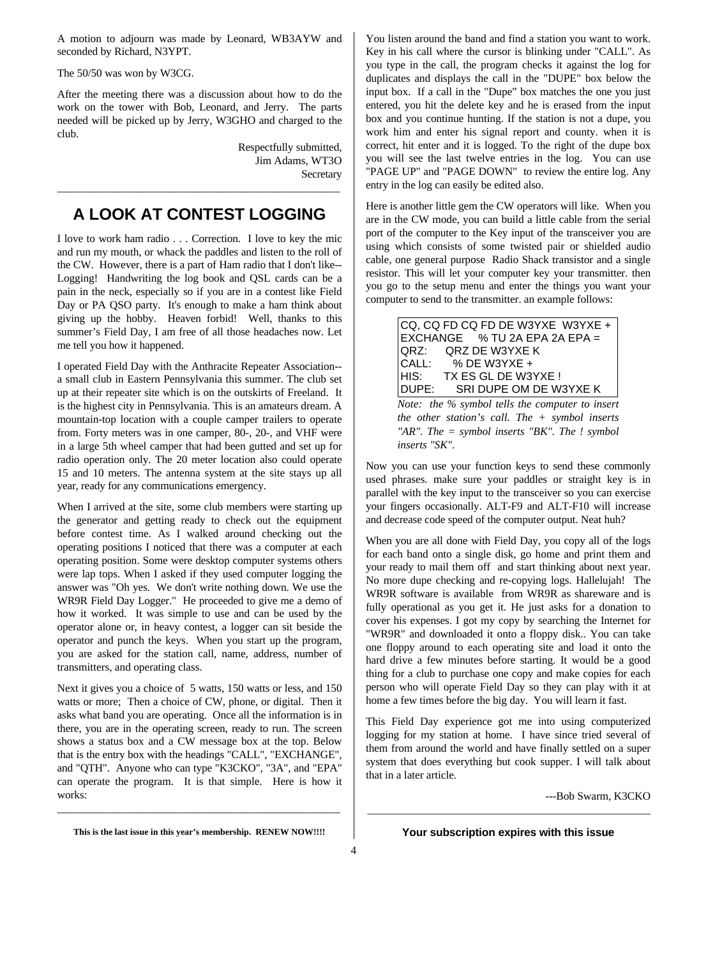A motion to adjourn was made by Leonard, WB3AYW and seconded by Richard, N3YPT.

The 50/50 was won by W3CG.

After the meeting there was a discussion about how to do the work on the tower with Bob, Leonard, and Jerry. The parts needed will be picked up by Jerry, W3GHO and charged to the club.

> Respectfully submitted, Jim Adams, WT3O **Secretary**

# **A LOOK AT CONTEST LOGGING**

\_\_\_\_\_\_\_\_\_\_\_\_\_\_\_\_\_\_\_\_\_\_\_\_\_\_\_\_\_\_\_\_\_\_\_\_\_\_\_\_\_\_\_\_\_\_\_\_\_\_\_

I love to work ham radio . . . Correction. I love to key the mic and run my mouth, or whack the paddles and listen to the roll of the CW. However, there is a part of Ham radio that I don't like-- Logging! Handwriting the log book and QSL cards can be a pain in the neck, especially so if you are in a contest like Field Day or PA QSO party. It's enough to make a ham think about giving up the hobby. Heaven forbid! Well, thanks to this summer's Field Day, I am free of all those headaches now. Let me tell you how it happened.

I operated Field Day with the Anthracite Repeater Association- a small club in Eastern Pennsylvania this summer. The club set up at their repeater site which is on the outskirts of Freeland. It is the highest city in Pennsylvania. This is an amateurs dream. A mountain-top location with a couple camper trailers to operate from. Forty meters was in one camper, 80-, 20-, and VHF were in a large 5th wheel camper that had been gutted and set up for radio operation only. The 20 meter location also could operate 15 and 10 meters. The antenna system at the site stays up all year, ready for any communications emergency.

When I arrived at the site, some club members were starting up the generator and getting ready to check out the equipment before contest time. As I walked around checking out the operating positions I noticed that there was a computer at each operating position. Some were desktop computer systems others were lap tops. When I asked if they used computer logging the answer was "Oh yes. We don't write nothing down. We use the WR9R Field Day Logger." He proceeded to give me a demo of how it worked. It was simple to use and can be used by the operator alone or, in heavy contest, a logger can sit beside the operator and punch the keys. When you start up the program, you are asked for the station call, name, address, number of transmitters, and operating class.

Next it gives you a choice of 5 watts, 150 watts or less, and 150 watts or more; Then a choice of CW, phone, or digital. Then it asks what band you are operating. Once all the information is in there, you are in the operating screen, ready to run. The screen shows a status box and a CW message box at the top. Below that is the entry box with the headings "CALL", "EXCHANGE", and "QTH". Anyone who can type "K3CKO", "3A", and "EPA" can operate the program. It is that simple. Here is how it works:

You listen around the band and find a station you want to work. Key in his call where the cursor is blinking under "CALL". As you type in the call, the program checks it against the log for duplicates and displays the call in the "DUPE" box below the input box. If a call in the "Dupe" box matches the one you just entered, you hit the delete key and he is erased from the input box and you continue hunting. If the station is not a dupe, you work him and enter his signal report and county. when it is correct, hit enter and it is logged. To the right of the dupe box you will see the last twelve entries in the log. You can use "PAGE UP" and "PAGE DOWN" to review the entire log. Any entry in the log can easily be edited also.

Here is another little gem the CW operators will like. When you are in the CW mode, you can build a little cable from the serial port of the computer to the Key input of the transceiver you are using which consists of some twisted pair or shielded audio cable, one general purpose Radio Shack transistor and a single resistor. This will let your computer key your transmitter. then you go to the setup menu and enter the things you want your computer to send to the transmitter. an example follows:

CQ, CQ FD CQ FD DE W3YXE W3YXE + EXCHANGE % TU 2A EPA 2A EPA = QRZ: QRZ DE W3YXE K CALL: % DE W3YXE + HIS: TX ES GL DE W3YXE ! DUPE: SRI DUPE OM DE W3YXE K

*Note: the % symbol tells the computer to insert the other station's call. The + symbol inserts "AR". The = symbol inserts "BK". The ! symbol inserts "SK".*

Now you can use your function keys to send these commonly used phrases. make sure your paddles or straight key is in parallel with the key input to the transceiver so you can exercise your fingers occasionally. ALT-F9 and ALT-F10 will increase and decrease code speed of the computer output. Neat huh?

When you are all done with Field Day, you copy all of the logs for each band onto a single disk, go home and print them and your ready to mail them off and start thinking about next year. No more dupe checking and re-copying logs. Hallelujah! The WR9R software is available from WR9R as shareware and is fully operational as you get it. He just asks for a donation to cover his expenses. I got my copy by searching the Internet for "WR9R" and downloaded it onto a floppy disk.. You can take one floppy around to each operating site and load it onto the hard drive a few minutes before starting. It would be a good thing for a club to purchase one copy and make copies for each person who will operate Field Day so they can play with it at home a few times before the big day. You will learn it fast.

This Field Day experience got me into using computerized logging for my station at home. I have since tried several of them from around the world and have finally settled on a super system that does everything but cook supper. I will talk about that in a later article.

---Bob Swarm, K3CKO

**This is the last issue in this year's membership. RENEW NOW!!!!**

\_\_\_\_\_\_\_\_\_\_\_\_\_\_\_\_\_\_\_\_\_\_\_\_\_\_\_\_\_\_\_\_\_\_\_\_\_\_\_\_\_\_\_\_\_\_\_\_\_\_\_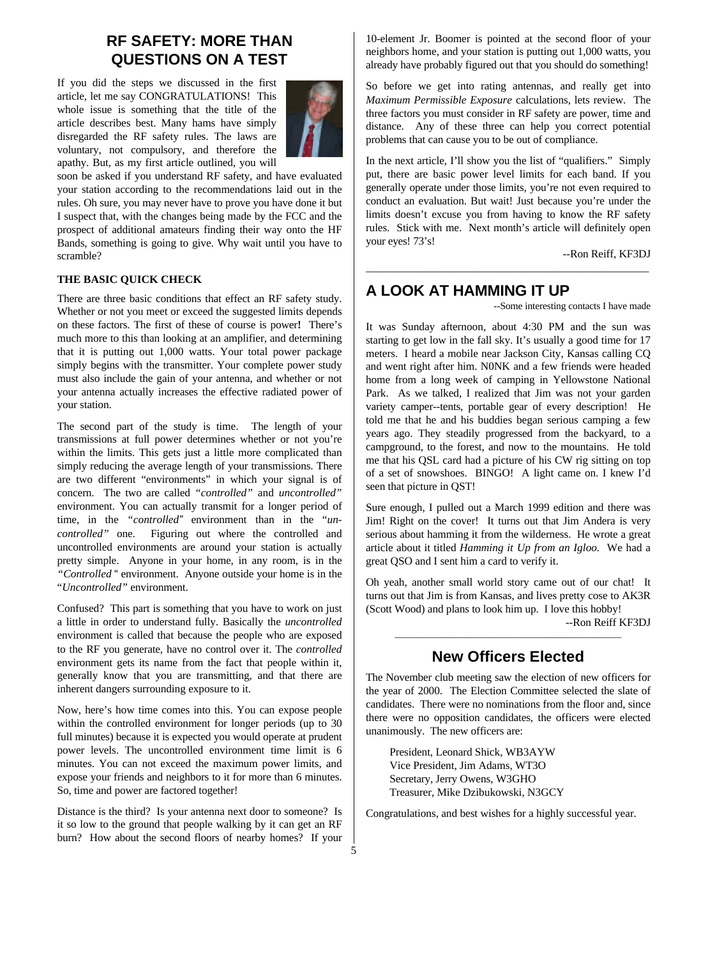### **RF SAFETY: MORE THAN QUESTIONS ON A TEST**

If you did the steps we discussed in the first article, let me say CONGRATULATIONS! This whole issue is something that the title of the article describes best. Many hams have simply disregarded the RF safety rules. The laws are voluntary, not compulsory, and therefore the apathy. But, as my first article outlined, you will



soon be asked if you understand RF safety, and have evaluated your station according to the recommendations laid out in the rules. Oh sure, you may never have to prove you have done it but I suspect that, with the changes being made by the FCC and the prospect of additional amateurs finding their way onto the HF Bands, something is going to give. Why wait until you have to scramble?

### **THE BASIC QUICK CHECK**

There are three basic conditions that effect an RF safety study. Whether or not you meet or exceed the suggested limits depends on these factors. The first of these of course is power**!** There's much more to this than looking at an amplifier, and determining that it is putting out 1,000 watts. Your total power package simply begins with the transmitter. Your complete power study must also include the gain of your antenna, and whether or not your antenna actually increases the effective radiated power of your station.

The second part of the study is time. The length of your transmissions at full power determines whether or not you're within the limits. This gets just a little more complicated than simply reducing the average length of your transmissions. There are two different "environments" in which your signal is of concern. The two are called *"controlled"* and *uncontrolled"* environment. You can actually transmit for a longer period of time, in the *"controlled"* environment than in the "*uncontrolled"* one. Figuring out where the controlled and uncontrolled environments are around your station is actually pretty simple. Anyone in your home, in any room, is in the *"Controlled* " environment. Anyone outside your home is in the "*Uncontrolled"* environment.

Confused? This part is something that you have to work on just a little in order to understand fully. Basically the *uncontrolled* environment is called that because the people who are exposed to the RF you generate, have no control over it. The *controlled* environment gets its name from the fact that people within it, generally know that you are transmitting, and that there are inherent dangers surrounding exposure to it.

Now, here's how time comes into this. You can expose people within the controlled environment for longer periods (up to 30 full minutes) because it is expected you would operate at prudent power levels. The uncontrolled environment time limit is 6 minutes. You can not exceed the maximum power limits, and expose your friends and neighbors to it for more than 6 minutes. So, time and power are factored together!

Distance is the third? Is your antenna next door to someone? Is it so low to the ground that people walking by it can get an RF burn? How about the second floors of nearby homes? If your

10-element Jr. Boomer is pointed at the second floor of your neighbors home, and your station is putting out 1,000 watts, you already have probably figured out that you should do something!

So before we get into rating antennas, and really get into *Maximum Permissible Exposure* calculations, lets review. The three factors you must consider in RF safety are power, time and distance. Any of these three can help you correct potential problems that can cause you to be out of compliance.

In the next article, I'll show you the list of "qualifiers." Simply put, there are basic power level limits for each band. If you generally operate under those limits, you're not even required to conduct an evaluation. But wait! Just because you're under the limits doesn't excuse you from having to know the RF safety rules. Stick with me. Next month's article will definitely open your eyes! 73's!

\_\_\_\_\_\_\_\_\_\_\_\_\_\_\_\_\_\_\_\_\_\_\_\_\_\_\_\_\_\_\_\_\_\_\_\_\_\_\_\_\_\_\_\_\_\_\_\_\_\_\_

--Ron Reiff, KF3DJ

# **A LOOK AT HAMMING IT UP**

--Some interesting contacts I have made

It was Sunday afternoon, about 4:30 PM and the sun was starting to get low in the fall sky. It's usually a good time for 17 meters. I heard a mobile near Jackson City, Kansas calling CQ and went right after him. N0NK and a few friends were headed home from a long week of camping in Yellowstone National Park. As we talked, I realized that Jim was not your garden variety camper--tents, portable gear of every description! He told me that he and his buddies began serious camping a few years ago. They steadily progressed from the backyard, to a campground, to the forest, and now to the mountains. He told me that his QSL card had a picture of his CW rig sitting on top of a set of snowshoes. BINGO! A light came on. I knew I'd seen that picture in QST!

Sure enough, I pulled out a March 1999 edition and there was Jim! Right on the cover! It turns out that Jim Andera is very serious about hamming it from the wilderness. He wrote a great article about it titled *Hamming it Up from an Igloo.* We had a great QSO and I sent him a card to verify it.

Oh yeah, another small world story came out of our chat! It turns out that Jim is from Kansas, and lives pretty cose to AK3R (Scott Wood) and plans to look him up. I love this hobby!

--Ron Reiff KF3DJ

## \_\_\_\_\_\_\_\_\_\_\_\_\_\_\_\_\_\_\_\_\_\_\_\_\_\_\_\_\_\_\_\_\_\_\_\_\_\_\_\_\_\_\_\_\_\_\_\_\_\_\_ **New Officers Elected**

The November club meeting saw the election of new officers for the year of 2000. The Election Committee selected the slate of candidates. There were no nominations from the floor and, since there were no opposition candidates, the officers were elected unanimously. The new officers are:

President, Leonard Shick, WB3AYW Vice President, Jim Adams, WT3O Secretary, Jerry Owens, W3GHO Treasurer, Mike Dzibukowski, N3GCY

Congratulations, and best wishes for a highly successful year.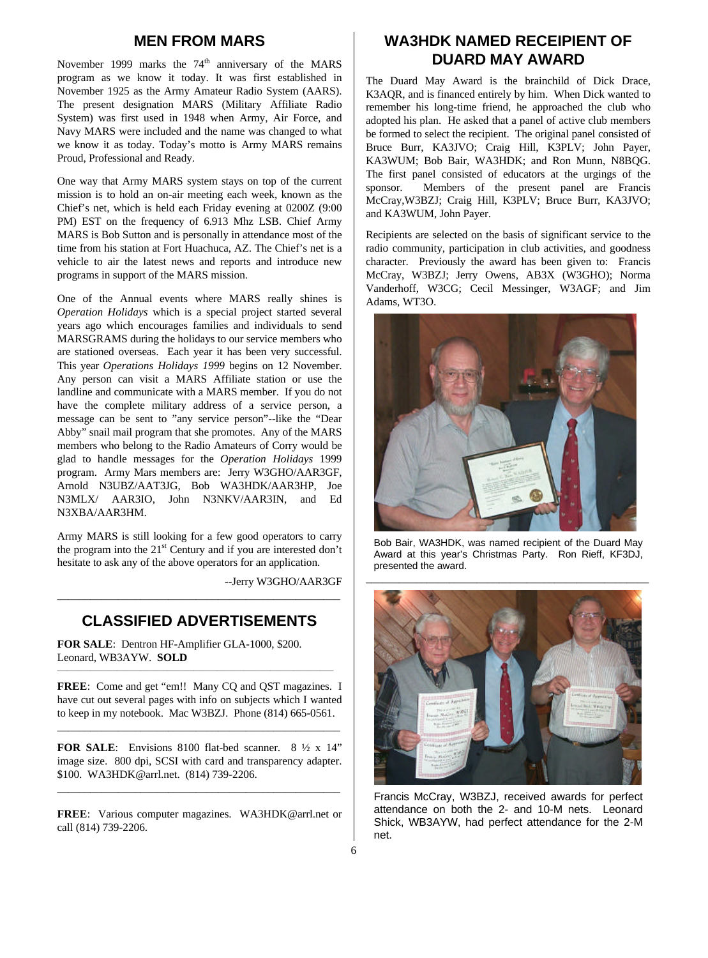### **MEN FROM MARS**

November 1999 marks the 74<sup>th</sup> anniversary of the MARS program as we know it today. It was first established in November 1925 as the Army Amateur Radio System (AARS). The present designation MARS (Military Affiliate Radio System) was first used in 1948 when Army, Air Force, and Navy MARS were included and the name was changed to what we know it as today. Today's motto is Army MARS remains Proud, Professional and Ready.

One way that Army MARS system stays on top of the current mission is to hold an on-air meeting each week, known as the Chief's net, which is held each Friday evening at 0200Z (9:00 PM) EST on the frequency of 6.913 Mhz LSB. Chief Army MARS is Bob Sutton and is personally in attendance most of the time from his station at Fort Huachuca, AZ. The Chief's net is a vehicle to air the latest news and reports and introduce new programs in support of the MARS mission.

One of the Annual events where MARS really shines is *Operation Holidays* which is a special project started several years ago which encourages families and individuals to send MARSGRAMS during the holidays to our service members who are stationed overseas. Each year it has been very successful. This year *Operations Holidays 1999* begins on 12 November. Any person can visit a MARS Affiliate station or use the landline and communicate with a MARS member. If you do not have the complete military address of a service person, a message can be sent to "any service person"--like the "Dear Abby" snail mail program that she promotes. Any of the MARS members who belong to the Radio Amateurs of Corry would be glad to handle messages for the *Operation Holidays* 1999 program. Army Mars members are: Jerry W3GHO/AAR3GF, Arnold N3UBZ/AAT3JG, Bob WA3HDK/AAR3HP, Joe N3MLX/ AAR3IO, John N3NKV/AAR3IN, and Ed N3XBA/AAR3HM.

Army MARS is still looking for a few good operators to carry the program into the  $21<sup>st</sup>$  Century and if you are interested don't hesitate to ask any of the above operators for an application.

--Jerry W3GHO/AAR3GF

### **CLASSIFIED ADVERTISEMENTS**

\_\_\_\_\_\_\_\_\_\_\_\_\_\_\_\_\_\_\_\_\_\_\_\_\_\_\_\_\_\_\_\_\_\_\_\_\_\_\_\_\_\_\_\_\_\_\_\_\_\_\_

**FOR SALE**: Dentron HF-Amplifier GLA-1000, \$200. Leonard, WB3AYW. **SOLD**

**FREE**: Come and get "em!! Many CQ and QST magazines. I have cut out several pages with info on subjects which I wanted to keep in my notebook. Mac W3BZJ. Phone (814) 665-0561.

\_\_\_\_\_\_\_\_\_\_\_\_\_\_\_\_\_\_\_\_\_\_\_\_\_\_\_\_\_\_\_\_\_\_\_\_\_\_\_\_\_\_\_\_\_\_\_\_\_\_\_

\_\_\_\_\_\_\_\_\_\_\_\_\_\_\_\_\_\_\_\_\_\_\_\_\_\_\_\_\_\_\_\_\_\_\_\_\_\_\_\_\_\_\_\_\_\_\_\_\_\_\_\_\_\_\_\_\_\_\_\_\_\_\_\_\_\_\_\_\_\_\_\_\_\_\_\_\_\_\_\_\_\_\_

**FOR SALE**: Envisions 8100 flat-bed scanner. 8 ½ x 14" image size. 800 dpi, SCSI with card and transparency adapter. \$100. WA3HDK@arrl.net. (814) 739-2206.

\_\_\_\_\_\_\_\_\_\_\_\_\_\_\_\_\_\_\_\_\_\_\_\_\_\_\_\_\_\_\_\_\_\_\_\_\_\_\_\_\_\_\_\_\_\_\_\_\_\_\_

**FREE**: Various computer magazines. WA3HDK@arrl.net or call (814) 739-2206.

### **WA3HDK NAMED RECEIPIENT OF DUARD MAY AWARD**

The Duard May Award is the brainchild of Dick Drace, K3AQR, and is financed entirely by him. When Dick wanted to remember his long-time friend, he approached the club who adopted his plan. He asked that a panel of active club members be formed to select the recipient. The original panel consisted of Bruce Burr, KA3JVO; Craig Hill, K3PLV; John Payer, KA3WUM; Bob Bair, WA3HDK; and Ron Munn, N8BQG. The first panel consisted of educators at the urgings of the sponsor. Members of the present panel are Francis McCray,W3BZJ; Craig Hill, K3PLV; Bruce Burr, KA3JVO; and KA3WUM, John Payer.

Recipients are selected on the basis of significant service to the radio community, participation in club activities, and goodness character. Previously the award has been given to: Francis McCray, W3BZJ; Jerry Owens, AB3X (W3GHO); Norma Vanderhoff, W3CG; Cecil Messinger, W3AGF; and Jim Adams, WT3O.



Bob Bair, WA3HDK, was named recipient of the Duard May Award at this year's Christmas Party. Ron Rieff, KF3DJ, presented the award.



Francis McCray, W3BZJ, received awards for perfect attendance on both the 2- and 10-M nets. Leonard Shick, WB3AYW, had perfect attendance for the 2-M net.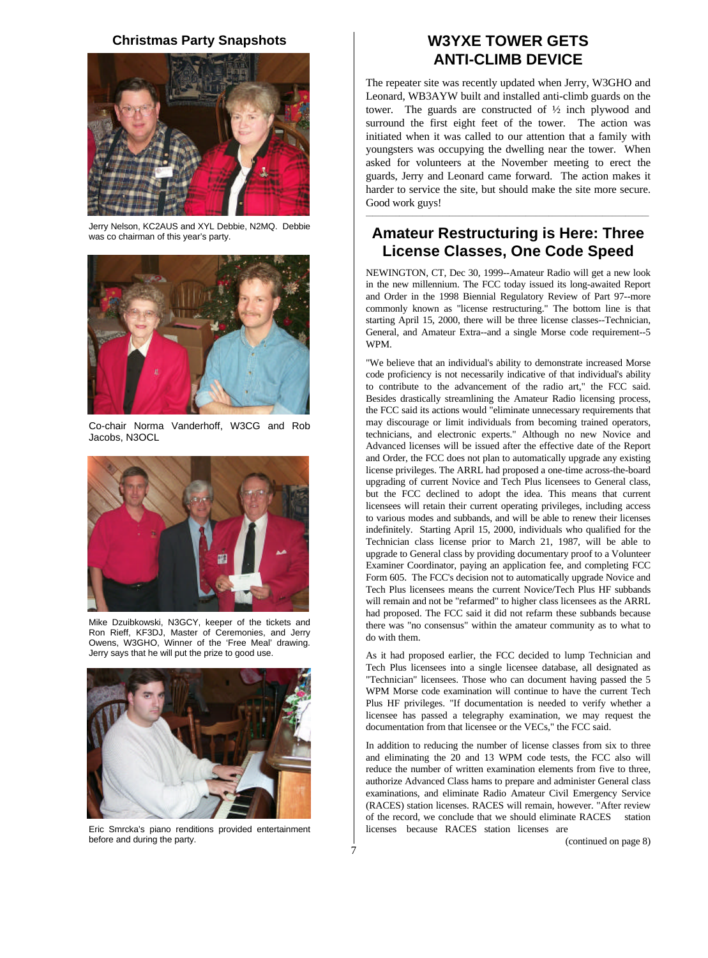### **Christmas Party Snapshots**



Jerry Nelson, KC2AUS and XYL Debbie, N2MQ. Debbie was co chairman of this year's party.



Co-chair Norma Vanderhoff, W3CG and Rob Jacobs, N3OCL



Mike Dzuibkowski, N3GCY, keeper of the tickets and Ron Rieff, KF3DJ, Master of Ceremonies, and Jerry Owens, W3GHO, Winner of the 'Free Meal' drawing. Jerry says that he will put the prize to good use.



Eric Smrcka's piano renditions provided entertainment before and during the party.

## **W3YXE TOWER GETS ANTI-CLIMB DEVICE**

The repeater site was recently updated when Jerry, W3GHO and Leonard, WB3AYW built and installed anti-climb guards on the tower. The guards are constructed of ½ inch plywood and surround the first eight feet of the tower. The action was initiated when it was called to our attention that a family with youngsters was occupying the dwelling near the tower. When asked for volunteers at the November meeting to erect the guards, Jerry and Leonard came forward. The action makes it harder to service the site, but should make the site more secure. Good work guys!

### **Amateur Restructuring is Here: Three License Classes, One Code Speed**

\_\_\_\_\_\_\_\_\_\_\_\_\_\_\_\_\_\_\_\_\_\_\_\_\_\_\_\_\_\_\_\_\_\_\_\_\_\_\_\_\_\_\_\_\_\_\_\_\_\_\_\_\_\_\_\_\_\_\_\_\_\_\_\_\_\_\_\_\_\_\_\_\_\_\_\_\_\_\_\_\_\_\_\_\_

NEWINGTON, CT, Dec 30, 1999--Amateur Radio will get a new look in the new millennium. The FCC today issued its long-awaited Report and Order in the 1998 Biennial Regulatory Review of Part 97--more commonly known as "license restructuring." The bottom line is that starting April 15, 2000, there will be three license classes--Technician, General, and Amateur Extra--and a single Morse code requirement--5 WPM.

"We believe that an individual's ability to demonstrate increased Morse code proficiency is not necessarily indicative of that individual's ability to contribute to the advancement of the radio art," the FCC said. Besides drastically streamlining the Amateur Radio licensing process, the FCC said its actions would "eliminate unnecessary requirements that may discourage or limit individuals from becoming trained operators, technicians, and electronic experts." Although no new Novice and Advanced licenses will be issued after the effective date of the Report and Order, the FCC does not plan to automatically upgrade any existing license privileges. The ARRL had proposed a one-time across-the-board upgrading of current Novice and Tech Plus licensees to General class, but the FCC declined to adopt the idea. This means that current licensees will retain their current operating privileges, including access to various modes and subbands, and will be able to renew their licenses indefinitely. Starting April 15, 2000, individuals who qualified for the Technician class license prior to March 21, 1987, will be able to upgrade to General class by providing documentary proof to a Volunteer Examiner Coordinator, paying an application fee, and completing FCC Form 605. The FCC's decision not to automatically upgrade Novice and Tech Plus licensees means the current Novice/Tech Plus HF subbands will remain and not be "refarmed" to higher class licensees as the ARRL had proposed. The FCC said it did not refarm these subbands because there was "no consensus" within the amateur community as to what to do with them.

As it had proposed earlier, the FCC decided to lump Technician and Tech Plus licensees into a single licensee database, all designated as "Technician" licensees. Those who can document having passed the 5 WPM Morse code examination will continue to have the current Tech Plus HF privileges. "If documentation is needed to verify whether a licensee has passed a telegraphy examination, we may request the documentation from that licensee or the VECs," the FCC said.

In addition to reducing the number of license classes from six to three and eliminating the 20 and 13 WPM code tests, the FCC also will reduce the number of written examination elements from five to three, authorize Advanced Class hams to prepare and administer General class examinations, and eliminate Radio Amateur Civil Emergency Service (RACES) station licenses. RACES will remain, however. "After review of the record, we conclude that we should eliminate RACES station licenses because RACES station licenses are

(continued on page 8)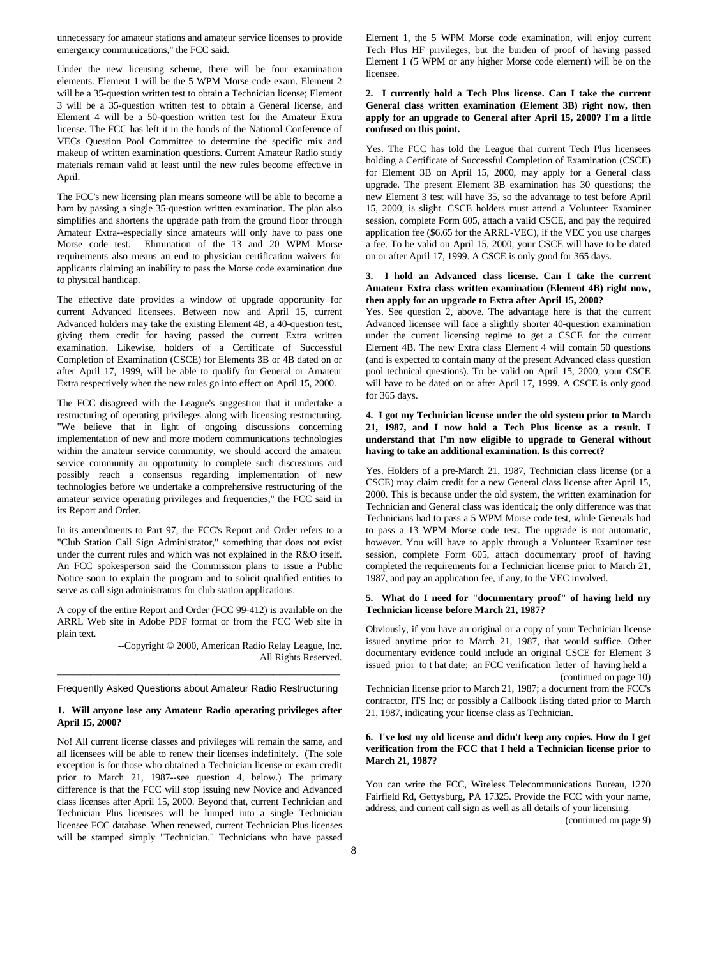unnecessary for amateur stations and amateur service licenses to provide emergency communications," the FCC said.

Under the new licensing scheme, there will be four examination elements. Element 1 will be the 5 WPM Morse code exam. Element 2 will be a 35-question written test to obtain a Technician license; Element 3 will be a 35-question written test to obtain a General license, and Element 4 will be a 50-question written test for the Amateur Extra license. The FCC has left it in the hands of the National Conference of VECs Question Pool Committee to determine the specific mix and makeup of written examination questions. Current Amateur Radio study materials remain valid at least until the new rules become effective in April.

The FCC's new licensing plan means someone will be able to become a ham by passing a single 35-question written examination. The plan also simplifies and shortens the upgrade path from the ground floor through Amateur Extra--especially since amateurs will only have to pass one Morse code test. Elimination of the 13 and 20 WPM Morse requirements also means an end to physician certification waivers for applicants claiming an inability to pass the Morse code examination due to physical handicap.

The effective date provides a window of upgrade opportunity for current Advanced licensees. Between now and April 15, current Advanced holders may take the existing Element 4B, a 40-question test, giving them credit for having passed the current Extra written examination. Likewise, holders of a Certificate of Successful Completion of Examination (CSCE) for Elements 3B or 4B dated on or after April 17, 1999, will be able to qualify for General or Amateur Extra respectively when the new rules go into effect on April 15, 2000.

The FCC disagreed with the League's suggestion that it undertake a restructuring of operating privileges along with licensing restructuring. "We believe that in light of ongoing discussions concerning implementation of new and more modern communications technologies within the amateur service community, we should accord the amateur service community an opportunity to complete such discussions and possibly reach a consensus regarding implementation of new technologies before we undertake a comprehensive restructuring of the amateur service operating privileges and frequencies," the FCC said in its Report and Order.

In its amendments to Part 97, the FCC's Report and Order refers to a "Club Station Call Sign Administrator," something that does not exist under the current rules and which was not explained in the R&O itself. An FCC spokesperson said the Commission plans to issue a Public Notice soon to explain the program and to solicit qualified entities to serve as call sign administrators for club station applications.

A copy of the entire Report and Order (FCC 99-412) is available on the ARRL Web site in Adobe PDF format or from the FCC Web site in plain text.

> --Copyright © 2000, American Radio Relay League, Inc. All Rights Reserved.

### \_\_\_\_\_\_\_\_\_\_\_\_\_\_\_\_\_\_\_\_\_\_\_\_\_\_\_\_\_\_\_\_\_\_\_\_\_\_\_\_\_\_\_\_\_\_\_\_\_\_\_ Frequently Asked Questions about Amateur Radio Restructuring

#### **1. Will anyone lose any Amateur Radio operating privileges after April 15, 2000?**

No! All current license classes and privileges will remain the same, and all licensees will be able to renew their licenses indefinitely. (The sole exception is for those who obtained a Technician license or exam credit prior to March 21, 1987--see question 4, below.) The primary difference is that the FCC will stop issuing new Novice and Advanced class licenses after April 15, 2000. Beyond that, current Technician and Technician Plus licensees will be lumped into a single Technician licensee FCC database. When renewed, current Technician Plus licenses will be stamped simply "Technician." Technicians who have passed Element 1, the 5 WPM Morse code examination, will enjoy current Tech Plus HF privileges, but the burden of proof of having passed Element 1 (5 WPM or any higher Morse code element) will be on the licensee.

#### **2. I currently hold a Tech Plus license. Can I take the current General class written examination (Element 3B) right now, then apply for an upgrade to General after April 15, 2000? I'm a little confused on this point.**

Yes. The FCC has told the League that current Tech Plus licensees holding a Certificate of Successful Completion of Examination (CSCE) for Element 3B on April 15, 2000, may apply for a General class upgrade. The present Element 3B examination has 30 questions; the new Element 3 test will have 35, so the advantage to test before April 15, 2000, is slight. CSCE holders must attend a Volunteer Examiner session, complete Form 605, attach a valid CSCE, and pay the required application fee (\$6.65 for the ARRL-VEC), if the VEC you use charges a fee. To be valid on April 15, 2000, your CSCE will have to be dated on or after April 17, 1999. A CSCE is only good for 365 days.

#### **3. I hold an Advanced class license. Can I take the current Amateur Extra class written examination (Element 4B) right now, then apply for an upgrade to Extra after April 15, 2000?**

Yes. See question 2, above. The advantage here is that the current Advanced licensee will face a slightly shorter 40-question examination under the current licensing regime to get a CSCE for the current Element 4B. The new Extra class Element 4 will contain 50 questions (and is expected to contain many of the present Advanced class question pool technical questions). To be valid on April 15, 2000, your CSCE will have to be dated on or after April 17, 1999. A CSCE is only good for 365 days.

#### **4. I got my Technician license under the old system prior to March 21, 1987, and I now hold a Tech Plus license as a result. I understand that I'm now eligible to upgrade to General without having to take an additional examination. Is this correct?**

Yes. Holders of a pre-March 21, 1987, Technician class license (or a CSCE) may claim credit for a new General class license after April 15, 2000. This is because under the old system, the written examination for Technician and General class was identical; the only difference was that Technicians had to pass a 5 WPM Morse code test, while Generals had to pass a 13 WPM Morse code test. The upgrade is not automatic, however. You will have to apply through a Volunteer Examiner test session, complete Form 605, attach documentary proof of having completed the requirements for a Technician license prior to March 21, 1987, and pay an application fee, if any, to the VEC involved.

#### **5. What do I need for "documentary proof" of having held my Technician license before March 21, 1987?**

Obviously, if you have an original or a copy of your Technician license issued anytime prior to March 21, 1987, that would suffice. Other documentary evidence could include an original CSCE for Element 3 issued prior to t hat date; an FCC verification letter of having held a (continued on page 10)

Technician license prior to March 21, 1987; a document from the FCC's contractor, ITS Inc; or possibly a Callbook listing dated prior to March 21, 1987, indicating your license class as Technician.

#### **6. I've lost my old license and didn't keep any copies. How do I get verification from the FCC that I held a Technician license prior to March 21, 1987?**

You can write the FCC, Wireless Telecommunications Bureau, 1270 Fairfield Rd, Gettysburg, PA 17325. Provide the FCC with your name, address, and current call sign as well as all details of your licensing.

(continued on page 9)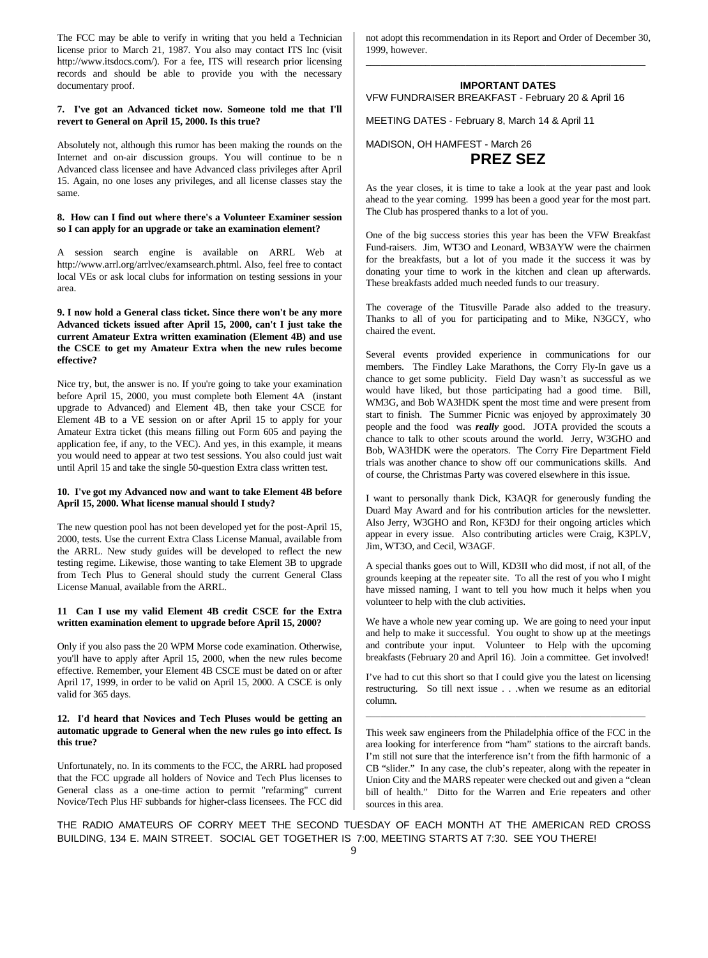The FCC may be able to verify in writing that you held a Technician license prior to March 21, 1987. You also may contact ITS Inc (visit http://www.itsdocs.com/). For a fee, ITS will research prior licensing records and should be able to provide you with the necessary documentary proof.

### **7. I've got an Advanced ticket now. Someone told me that I'll revert to General on April 15, 2000. Is this true?**

Absolutely not, although this rumor has been making the rounds on the Internet and on-air discussion groups. You will continue to be n Advanced class licensee and have Advanced class privileges after April 15. Again, no one loses any privileges, and all license classes stay the same.

### **8. How can I find out where there's a Volunteer Examiner session so I can apply for an upgrade or take an examination element?**

A session search engine is available on ARRL Web at http://www.arrl.org/arrlvec/examsearch.phtml. Also, feel free to contact local VEs or ask local clubs for information on testing sessions in your area.

#### **9. I now hold a General class ticket. Since there won't be any more Advanced tickets issued after April 15, 2000, can't I just take the current Amateur Extra written examination (Element 4B) and use the CSCE to get my Amateur Extra when the new rules become effective?**

Nice try, but, the answer is no. If you're going to take your examination before April 15, 2000, you must complete both Element 4A (instant upgrade to Advanced) and Element 4B, then take your CSCE for Element 4B to a VE session on or after April 15 to apply for your Amateur Extra ticket (this means filling out Form 605 and paying the application fee, if any, to the VEC). And yes, in this example, it means you would need to appear at two test sessions. You also could just wait until April 15 and take the single 50-question Extra class written test.

#### **10. I've got my Advanced now and want to take Element 4B before April 15, 2000. What license manual should I study?**

The new question pool has not been developed yet for the post-April 15, 2000, tests. Use the current Extra Class License Manual, available from the ARRL. New study guides will be developed to reflect the new testing regime. Likewise, those wanting to take Element 3B to upgrade from Tech Plus to General should study the current General Class License Manual, available from the ARRL.

#### **11 Can I use my valid Element 4B credit CSCE for the Extra written examination element to upgrade before April 15, 2000?**

Only if you also pass the 20 WPM Morse code examination. Otherwise, you'll have to apply after April 15, 2000, when the new rules become effective. Remember, your Element 4B CSCE must be dated on or after April 17, 1999, in order to be valid on April 15, 2000. A CSCE is only valid for 365 days.

#### **12. I'd heard that Novices and Tech Pluses would be getting an automatic upgrade to General when the new rules go into effect. Is this true?**

Unfortunately, no. In its comments to the FCC, the ARRL had proposed that the FCC upgrade all holders of Novice and Tech Plus licenses to General class as a one-time action to permit "refarming" current Novice/Tech Plus HF subbands for higher-class licensees. The FCC did not adopt this recommendation in its Report and Order of December 30, 1999, however. \_\_\_\_\_\_\_\_\_\_\_\_\_\_\_\_\_\_\_\_\_\_\_\_\_\_\_\_\_\_\_\_\_\_\_\_\_\_\_\_\_\_\_\_\_\_\_\_\_\_\_\_\_\_\_\_

### **IMPORTANT DATES** VFW FUNDRAISER BREAKFAST - February 20 & April 16

MEETING DATES - February 8, March 14 & April 11

### MADISON, OH HAMFEST - March 26

### **PREZ SEZ**

As the year closes, it is time to take a look at the year past and look ahead to the year coming. 1999 has been a good year for the most part. The Club has prospered thanks to a lot of you.

One of the big success stories this year has been the VFW Breakfast Fund-raisers. Jim, WT3O and Leonard, WB3AYW were the chairmen for the breakfasts, but a lot of you made it the success it was by donating your time to work in the kitchen and clean up afterwards. These breakfasts added much needed funds to our treasury.

The coverage of the Titusville Parade also added to the treasury. Thanks to all of you for participating and to Mike, N3GCY, who chaired the event.

Several events provided experience in communications for our members. The Findley Lake Marathons, the Corry Fly-In gave us a chance to get some publicity. Field Day wasn't as successful as we would have liked, but those participating had a good time. Bill, WM3G, and Bob WA3HDK spent the most time and were present from start to finish. The Summer Picnic was enjoyed by approximately 30 people and the food was *really* good. JOTA provided the scouts a chance to talk to other scouts around the world. Jerry, W3GHO and Bob, WA3HDK were the operators. The Corry Fire Department Field trials was another chance to show off our communications skills. And of course, the Christmas Party was covered elsewhere in this issue.

I want to personally thank Dick, K3AQR for generously funding the Duard May Award and for his contribution articles for the newsletter. Also Jerry, W3GHO and Ron, KF3DJ for their ongoing articles which appear in every issue. Also contributing articles were Craig, K3PLV, Jim, WT3O, and Cecil, W3AGF.

A special thanks goes out to Will, KD3II who did most, if not all, of the grounds keeping at the repeater site. To all the rest of you who I might have missed naming, I want to tell you how much it helps when you volunteer to help with the club activities.

We have a whole new year coming up. We are going to need your input and help to make it successful. You ought to show up at the meetings and contribute your input. Volunteer to Help with the upcoming breakfasts (February 20 and April 16). Join a committee. Get involved!

I've had to cut this short so that I could give you the latest on licensing restructuring. So till next issue . . .when we resume as an editorial column.

\_\_\_\_\_\_\_\_\_\_\_\_\_\_\_\_\_\_\_\_\_\_\_\_\_\_\_\_\_\_\_\_\_\_\_\_\_\_\_\_\_\_\_\_\_\_\_\_\_\_\_\_\_\_\_\_

This week saw engineers from the Philadelphia office of the FCC in the area looking for interference from "ham" stations to the aircraft bands. I'm still not sure that the interference isn't from the fifth harmonic of a CB "slider." In any case, the club's repeater, along with the repeater in Union City and the MARS repeater were checked out and given a "clean bill of health." Ditto for the Warren and Erie repeaters and other sources in this area.

THE RADIO AMATEURS OF CORRY MEET THE SECOND TUESDAY OF EACH MONTH AT THE AMERICAN RED CROSS BUILDING, 134 E. MAIN STREET. SOCIAL GET TOGETHER IS 7:00, MEETING STARTS AT 7:30. SEE YOU THERE!